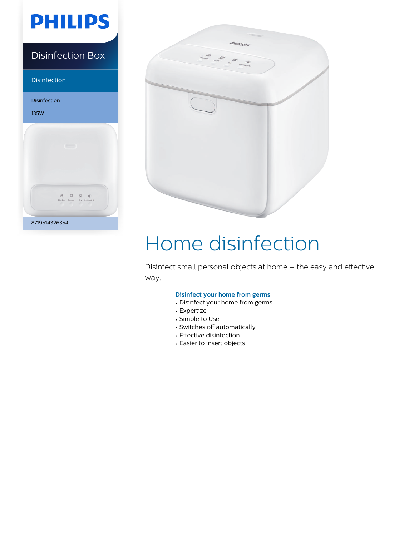# **PHILIPS**

### Disinfection Box

Disinfection

Disinfection 135W 8719514326354



# Home disinfection

Disinfect small personal objects at home – the easy and effective way.

#### **Disinfect your home from germs**

- Disinfect your home from germs
- Expertize
- Simple to Use
- Switches off automatically
- Effective disinfection
- Easier to insert objects